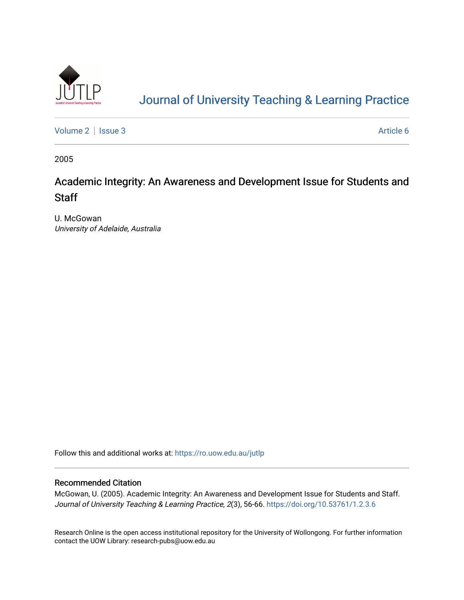

# [Journal of University Teaching & Learning Practice](https://ro.uow.edu.au/jutlp)

[Volume 2](https://ro.uow.edu.au/jutlp/vol2) | [Issue 3](https://ro.uow.edu.au/jutlp/vol2/iss3) Article 6

2005

## Academic Integrity: An Awareness and Development Issue for Students and **Staff**

U. McGowan University of Adelaide, Australia

Follow this and additional works at: [https://ro.uow.edu.au/jutlp](https://ro.uow.edu.au/jutlp?utm_source=ro.uow.edu.au%2Fjutlp%2Fvol2%2Fiss3%2F6&utm_medium=PDF&utm_campaign=PDFCoverPages) 

#### Recommended Citation

McGowan, U. (2005). Academic Integrity: An Awareness and Development Issue for Students and Staff. Journal of University Teaching & Learning Practice, 2(3), 56-66. <https://doi.org/10.53761/1.2.3.6>

Research Online is the open access institutional repository for the University of Wollongong. For further information contact the UOW Library: research-pubs@uow.edu.au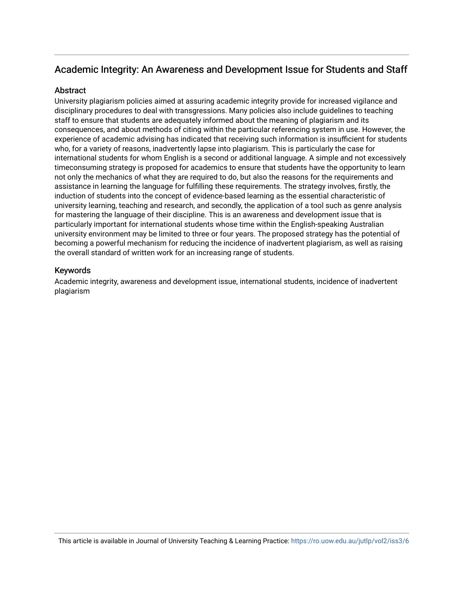### Academic Integrity: An Awareness and Development Issue for Students and Staff

#### **Abstract**

University plagiarism policies aimed at assuring academic integrity provide for increased vigilance and disciplinary procedures to deal with transgressions. Many policies also include guidelines to teaching staff to ensure that students are adequately informed about the meaning of plagiarism and its consequences, and about methods of citing within the particular referencing system in use. However, the experience of academic advising has indicated that receiving such information is insufficient for students who, for a variety of reasons, inadvertently lapse into plagiarism. This is particularly the case for international students for whom English is a second or additional language. A simple and not excessively timeconsuming strategy is proposed for academics to ensure that students have the opportunity to learn not only the mechanics of what they are required to do, but also the reasons for the requirements and assistance in learning the language for fulfilling these requirements. The strategy involves, firstly, the induction of students into the concept of evidence-based learning as the essential characteristic of university learning, teaching and research, and secondly, the application of a tool such as genre analysis for mastering the language of their discipline. This is an awareness and development issue that is particularly important for international students whose time within the English-speaking Australian university environment may be limited to three or four years. The proposed strategy has the potential of becoming a powerful mechanism for reducing the incidence of inadvertent plagiarism, as well as raising the overall standard of written work for an increasing range of students.

#### Keywords

Academic integrity, awareness and development issue, international students, incidence of inadvertent plagiarism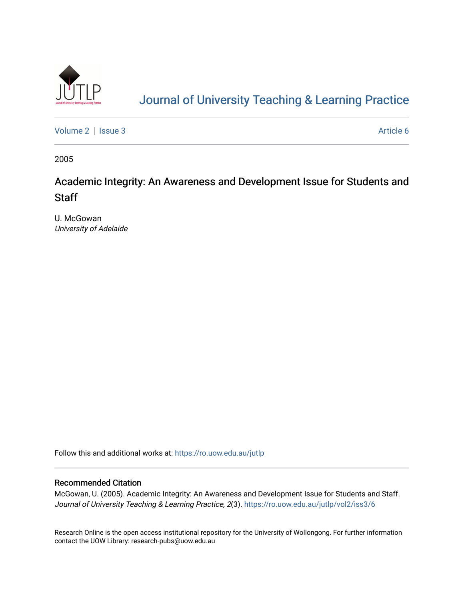

# [Journal of University Teaching & Learning Practice](https://ro.uow.edu.au/jutlp)

[Volume 2](https://ro.uow.edu.au/jutlp/vol2) | [Issue 3](https://ro.uow.edu.au/jutlp/vol2/iss3) Article 6

2005

## Academic Integrity: An Awareness and Development Issue for Students and **Staff**

U. McGowan University of Adelaide

Follow this and additional works at: [https://ro.uow.edu.au/jutlp](https://ro.uow.edu.au/jutlp?utm_source=ro.uow.edu.au%2Fjutlp%2Fvol2%2Fiss3%2F6&utm_medium=PDF&utm_campaign=PDFCoverPages) 

#### Recommended Citation

McGowan, U. (2005). Academic Integrity: An Awareness and Development Issue for Students and Staff. Journal of University Teaching & Learning Practice, 2(3). [https://ro.uow.edu.au/jutlp/vol2/iss3/6](https://ro.uow.edu.au/jutlp/vol2/iss3/6?utm_source=ro.uow.edu.au%2Fjutlp%2Fvol2%2Fiss3%2F6&utm_medium=PDF&utm_campaign=PDFCoverPages)

Research Online is the open access institutional repository for the University of Wollongong. For further information contact the UOW Library: research-pubs@uow.edu.au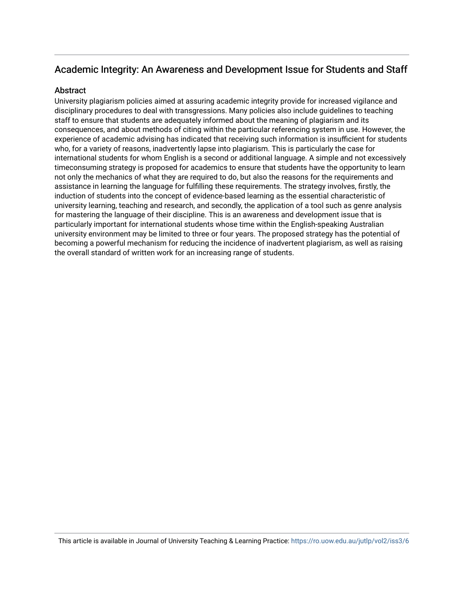### Academic Integrity: An Awareness and Development Issue for Students and Staff

#### **Abstract**

University plagiarism policies aimed at assuring academic integrity provide for increased vigilance and disciplinary procedures to deal with transgressions. Many policies also include guidelines to teaching staff to ensure that students are adequately informed about the meaning of plagiarism and its consequences, and about methods of citing within the particular referencing system in use. However, the experience of academic advising has indicated that receiving such information is insufficient for students who, for a variety of reasons, inadvertently lapse into plagiarism. This is particularly the case for international students for whom English is a second or additional language. A simple and not excessively timeconsuming strategy is proposed for academics to ensure that students have the opportunity to learn not only the mechanics of what they are required to do, but also the reasons for the requirements and assistance in learning the language for fulfilling these requirements. The strategy involves, firstly, the induction of students into the concept of evidence-based learning as the essential characteristic of university learning, teaching and research, and secondly, the application of a tool such as genre analysis for mastering the language of their discipline. This is an awareness and development issue that is particularly important for international students whose time within the English-speaking Australian university environment may be limited to three or four years. The proposed strategy has the potential of becoming a powerful mechanism for reducing the incidence of inadvertent plagiarism, as well as raising the overall standard of written work for an increasing range of students.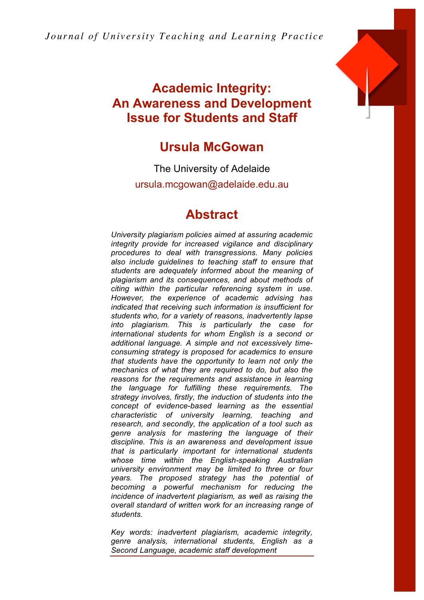*Jour nal of Univ e rsit y Teaching and Lear ning Pr ac ti ce*



# **Academic Integrity: An Awareness and Development Issue for Students and Staff**

# **Ursula McGowan**

The University of Adelaide ursula.mcgowan@adelaide.edu.au

# **Abstract**

*University plagiarism policies aimed at assuring academic integrity provide for increased vigilance and disciplinary procedures to deal with transgressions. Many policies also include guidelines to teaching staff to ensure that students are adequately informed about the meaning of plagiarism and its consequences, and about methods of citing within the particular referencing system in use. However, the experience of academic advising has indicated that receiving such information is insufficient for students who, for a variety of reasons, inadvertently lapse into plagiarism. This is particularly the case for international students for whom English is a second or additional language. A simple and not excessively timeconsuming strategy is proposed for academics to ensure that students have the opportunity to learn not only the mechanics of what they are required to do, but also the reasons for the requirements and assistance in learning the language for fulfilling these requirements. The strategy involves, firstly, the induction of students into the concept of evidence-based learning as the essential characteristic of university learning, teaching and research, and secondly, the application of a tool such as genre analysis for mastering the language of their discipline. This is an awareness and development issue that is particularly important for international students whose time within the English-speaking Australian university environment may be limited to three or four years. The proposed strategy has the potential of becoming a powerful mechanism for reducing the incidence of inadvertent plagiarism, as well as raising the overall standard of written work for an increasing range of students.*

*Key words: inadvertent plagiarism, academic integrity, genre analysis, international students, English as a Second Language, academic staff development*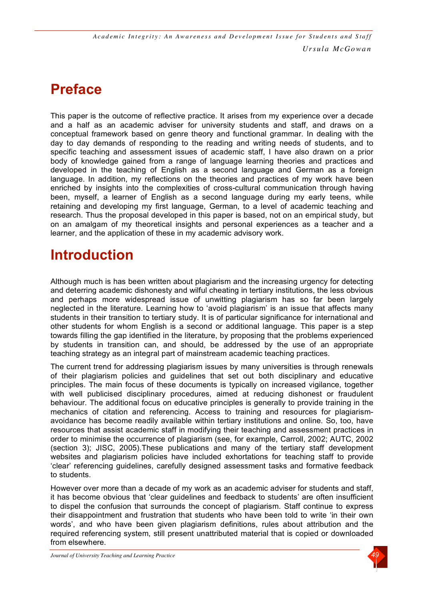# **Preface**

This paper is the outcome of reflective practice. It arises from my experience over a decade and a half as an academic adviser for university students and staff, and draws on a conceptual framework based on genre theory and functional grammar. In dealing with the day to day demands of responding to the reading and writing needs of students, and to specific teaching and assessment issues of academic staff, I have also drawn on a prior body of knowledge gained from a range of language learning theories and practices and developed in the teaching of English as a second language and German as a foreign language. In addition, my reflections on the theories and practices of my work have been enriched by insights into the complexities of cross-cultural communication through having been, myself, a learner of English as a second language during my early teens, while retaining and developing my first language, German, to a level of academic teaching and research. Thus the proposal developed in this paper is based, not on an empirical study, but on an amalgam of my theoretical insights and personal experiences as a teacher and a learner, and the application of these in my academic advisory work.

# **Introduction**

Although much is has been written about plagiarism and the increasing urgency for detecting and deterring academic dishonesty and wilful cheating in tertiary institutions, the less obvious and perhaps more widespread issue of unwitting plagiarism has so far been largely neglected in the literature. Learning how to 'avoid plagiarism' is an issue that affects many students in their transition to tertiary study. It is of particular significance for international and other students for whom English is a second or additional language. This paper is a step towards filling the gap identified in the literature, by proposing that the problems experienced by students in transition can, and should, be addressed by the use of an appropriate teaching strategy as an integral part of mainstream academic teaching practices.

The current trend for addressing plagiarism issues by many universities is through renewals of their plagiarism policies and guidelines that set out both disciplinary and educative principles. The main focus of these documents is typically on increased vigilance, together with well publicised disciplinary procedures, aimed at reducing dishonest or fraudulent behaviour. The additional focus on educative principles is generally to provide training in the mechanics of citation and referencing. Access to training and resources for plagiarismavoidance has become readily available within tertiary institutions and online. So, too, have resources that assist academic staff in modifying their teaching and assessment practices in order to minimise the occurrence of plagiarism (see, for example, Carroll, 2002; AUTC, 2002 (section 3); JISC, 2005).These publications and many of the tertiary staff development websites and plagiarism policies have included exhortations for teaching staff to provide 'clear' referencing guidelines, carefully designed assessment tasks and formative feedback to students.

However over more than a decade of my work as an academic adviser for students and staff, it has become obvious that 'clear guidelines and feedback to students' are often insufficient to dispel the confusion that surrounds the concept of plagiarism. Staff continue to express their disappointment and frustration that students who have been told to write 'in their own words', and who have been given plagiarism definitions, rules about attribution and the required referencing system, still present unattributed material that is copied or downloaded from elsewhere.

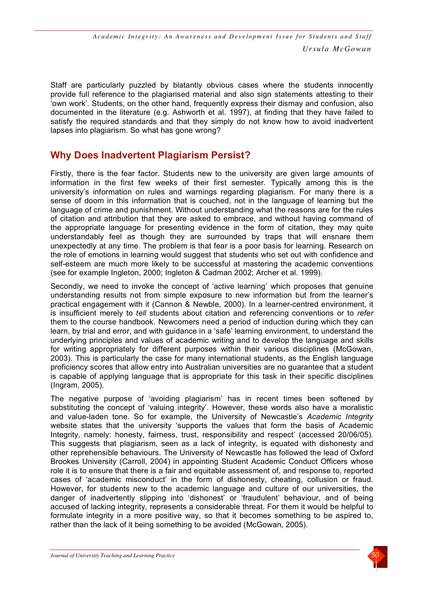Staff are particularly puzzled by blatantly obvious cases where the students innocently provide full reference to the plagiarised material and also sign statements attesting to their 'own work'. Students, on the other hand, frequently express their dismay and confusion, also documented in the literature (e.g. Ashworth et al. 1997), at finding that they have failed to satisfy the required standards and that they simply do not know how to avoid inadvertent lapses into plagiarism. So what has gone wrong?

### **Why Does Inadvertent Plagiarism Persist?**

Firstly, there is the fear factor. Students new to the university are given large amounts of information in the first few weeks of their first semester. Typically among this is the university's information on rules and warnings regarding plagiarism. For many there is a sense of doom in this information that is couched, not in the language of learning but the language of crime and punishment. Without understanding what the reasons are for the rules of citation and attribution that they are asked to embrace, and without having command of the appropriate language for presenting evidence in the form of citation, they may quite understandably feel as though they are surrounded by traps that will ensnare them unexpectedly at any time. The problem is that fear is a poor basis for learning. Research on the role of emotions in learning would suggest that students who set out with confidence and self-esteem are much more likely to be successful at mastering the academic conventions (see for example Ingleton, 2000; Ingleton & Cadman 2002; Archer et al. 1999).

Secondly, we need to invoke the concept of 'active learning' which proposes that genuine understanding results not from simple exposure to new information but from the learner's practical engagement with it (Cannon & Newble, 2000). In a learner-centred environment, it is insufficient merely to *tell* students about citation and referencing conventions or to *refer* them to the course handbook. Newcomers need a period of induction during which they can learn, by trial and error, and with guidance in a 'safe' learning environment, to understand the underlying principles and values of academic writing and to develop the language and skills for writing appropriately for different purposes within their various disciplines (McGowan, 2003). This is particularly the case for many international students, as the English language proficiency scores that allow entry into Australian universities are no guarantee that a student is capable of applying language that is appropriate for this task in their specific disciplines (Ingram, 2005).

The negative purpose of 'avoiding plagiarism' has in recent times been softened by substituting the concept of 'valuing integrity'. However, these words also have a moralistic and value-laden tone. So for example, the University of Newcastle's *Academic Integrity* website states that the university 'supports the values that form the basis of Academic Integrity, namely: honesty, fairness, trust, responsibility and respect' (accessed 20/06/05). This suggests that plagiarism, seen as a lack of integrity, is equated with dishonesty and other reprehensible behaviours. The University of Newcastle has followed the lead of Oxford Brookes University (Carroll, 2004) in appointing Student Academic Conduct Officers whose role it is to ensure that there is a fair and equitable assessment of, and response to, reported cases of 'academic misconduct' in the form of dishonesty, cheating, collusion or fraud. However, for students new to the academic language and culture of our universities, the danger of inadvertently slipping into 'dishonest' or 'fraudulent' behaviour, and of being accused of lacking integrity, represents a considerable threat. For them it would be helpful to formulate integrity in a more positive way, so that it becomes something to be aspired to, rather than the lack of it being something to be avoided (McGowan, 2005).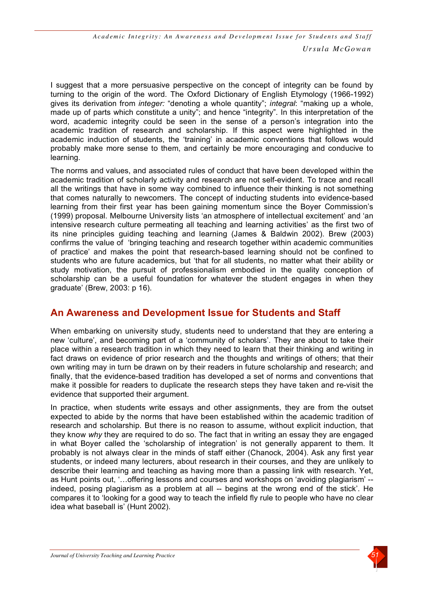I suggest that a more persuasive perspective on the concept of integrity can be found by turning to the origin of the word. The Oxford Dictionary of English Etymology (1966-1992) gives its derivation from *integer:* "denoting a whole quantity"; *integral*: "making up a whole, made up of parts which constitute a unity"; and hence "integrity". In this interpretation of the word, academic integrity could be seen in the sense of a person's integration into the academic tradition of research and scholarship. If this aspect were highlighted in the academic induction of students, the 'training' in academic conventions that follows would probably make more sense to them, and certainly be more encouraging and conducive to learning.

The norms and values, and associated rules of conduct that have been developed within the academic tradition of scholarly activity and research are not self-evident. To trace and recall all the writings that have in some way combined to influence their thinking is not something that comes naturally to newcomers. The concept of inducting students into evidence-based learning from their first year has been gaining momentum since the Boyer Commission's (1999) proposal. Melbourne University lists 'an atmosphere of intellectual excitement' and 'an intensive research culture permeating all teaching and learning activities' as the first two of its nine principles guiding teaching and learning (James & Baldwin 2002). Brew (2003) confirms the value of 'bringing teaching and research together within academic communities of practice' and makes the point that research-based learning should not be confined to students who are future academics, but 'that for all students, no matter what their ability or study motivation, the pursuit of professionalism embodied in the quality conception of scholarship can be a useful foundation for whatever the student engages in when they graduate' (Brew, 2003: p 16).

## **An Awareness and Development Issue for Students and Staff**

When embarking on university study, students need to understand that they are entering a new 'culture', and becoming part of a 'community of scholars'. They are about to take their place within a research tradition in which they need to learn that their thinking and writing in fact draws on evidence of prior research and the thoughts and writings of others; that their own writing may in turn be drawn on by their readers in future scholarship and research; and finally, that the evidence-based tradition has developed a set of norms and conventions that make it possible for readers to duplicate the research steps they have taken and re-visit the evidence that supported their argument.

In practice, when students write essays and other assignments, they are from the outset expected to abide by the norms that have been established within the academic tradition of research and scholarship. But there is no reason to assume, without explicit induction, that they know *why* they are required to do so. The fact that in writing an essay they are engaged in what Boyer called the 'scholarship of integration' is not generally apparent to them. It probably is not always clear in the minds of staff either (Chanock, 2004). Ask any first year students, or indeed many lecturers, about research in their courses, and they are unlikely to describe their learning and teaching as having more than a passing link with research. Yet, as Hunt points out, '…offering lessons and courses and workshops on 'avoiding plagiarism' - indeed, posing plagiarism as a problem at all -- begins at the wrong end of the stick'. He compares it to 'looking for a good way to teach the infield fly rule to people who have no clear idea what baseball is' (Hunt 2002).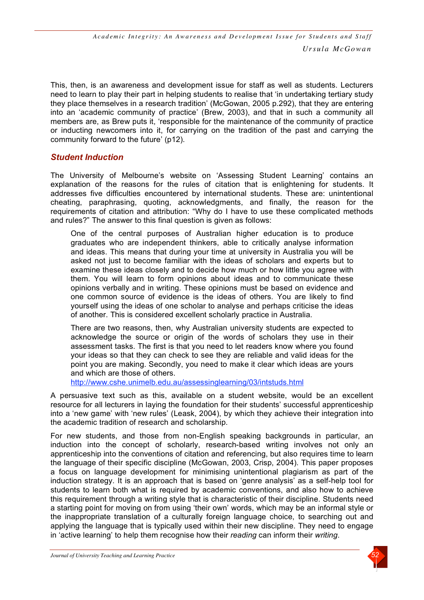This, then, is an awareness and development issue for staff as well as students. Lecturers need to learn to play their part in helping students to realise that 'in undertaking tertiary study they place themselves in a research tradition' (McGowan, 2005 p.292), that they are entering into an 'academic community of practice' (Brew, 2003), and that in such a community all members are, as Brew puts it, 'responsible for the maintenance of the community of practice or inducting newcomers into it, for carrying on the tradition of the past and carrying the community forward to the future' (p12).

### *Student Induction*

The University of Melbourne's website on 'Assessing Student Learning' contains an explanation of the reasons for the rules of citation that is enlightening for students. It addresses five difficulties encountered by international students. These are: unintentional cheating, paraphrasing, quoting, acknowledgments, and finally, the reason for the requirements of citation and attribution: "Why do I have to use these complicated methods and rules?" The answer to this final question is given as follows:

One of the central purposes of Australian higher education is to produce graduates who are independent thinkers, able to critically analyse information and ideas. This means that during your time at university in Australia you will be asked not just to become familiar with the ideas of scholars and experts but to examine these ideas closely and to decide how much or how little you agree with them. You will learn to form opinions about ideas and to communicate these opinions verbally and in writing. These opinions must be based on evidence and one common source of evidence is the ideas of others. You are likely to find yourself using the ideas of one scholar to analyse and perhaps criticise the ideas of another. This is considered excellent scholarly practice in Australia.

There are two reasons, then, why Australian university students are expected to acknowledge the source or origin of the words of scholars they use in their assessment tasks. The first is that you need to let readers know where you found your ideas so that they can check to see they are reliable and valid ideas for the point you are making. Secondly, you need to make it clear which ideas are yours and which are those of others.

http://www.cshe.unimelb.edu.au/assessinglearning/03/intstuds.html

A persuasive text such as this, available on a student website, would be an excellent resource for all lecturers in laying the foundation for their students' successful apprenticeship into a 'new game' with 'new rules' (Leask, 2004), by which they achieve their integration into the academic tradition of research and scholarship.

For new students, and those from non-English speaking backgrounds in particular, an induction into the concept of scholarly, research-based writing involves not only an apprenticeship into the conventions of citation and referencing, but also requires time to learn the language of their specific discipline (McGowan, 2003, Crisp, 2004). This paper proposes a focus on language development for minimising unintentional plagiarism as part of the induction strategy. It is an approach that is based on 'genre analysis' as a self-help tool for students to learn both what is required by academic conventions, and also how to achieve this requirement through a writing style that is characteristic of their discipline. Students need a starting point for moving on from using 'their own' words, which may be an informal style or the inappropriate translation of a culturally foreign language choice, to searching out and applying the language that is typically used within their new discipline. They need to engage in 'active learning' to help them recognise how their *reading* can inform their *writing*.

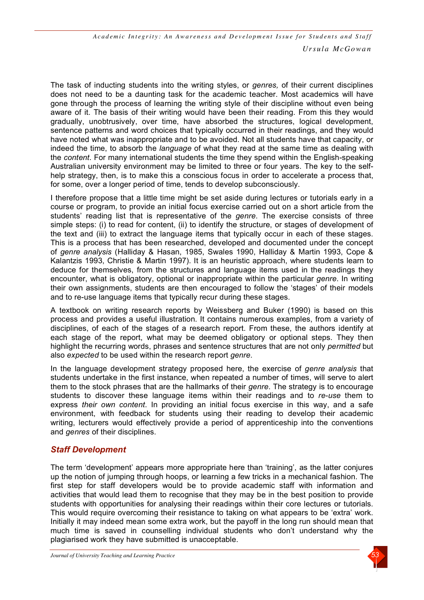The task of inducting students into the writing styles, or *genres,* of their current disciplines does not need to be a daunting task for the academic teacher. Most academics will have gone through the process of learning the writing style of their discipline without even being aware of it. The basis of their writing would have been their reading. From this they would gradually, unobtrusively, over time, have absorbed the structures, logical development, sentence patterns and word choices that typically occurred in their readings, and they would have noted what was inappropriate and to be avoided. Not all students have that capacity, or indeed the time, to absorb the *language* of what they read at the same time as dealing with the *content*. For many international students the time they spend within the English-speaking Australian university environment may be limited to three or four years. The key to the selfhelp strategy, then, is to make this a conscious focus in order to accelerate a process that, for some, over a longer period of time, tends to develop subconsciously.

I therefore propose that a little time might be set aside during lectures or tutorials early in a course or program, to provide an initial focus exercise carried out on a short article from the students' reading list that is representative of the *genre*. The exercise consists of three simple steps: (i) to read for content, (ii) to identify the structure, or stages of development of the text and (iii) to extract the language items that typically occur in each of these stages. This is a process that has been researched, developed and documented under the concept of *genre analysis* (Halliday & Hasan, 1985, Swales 1990, Halliday & Martin 1993, Cope & Kalantzis 1993, Christie & Martin 1997). It is an heuristic approach, where students learn to deduce for themselves, from the structures and language items used in the readings they encounter, what is obligatory, optional or inappropriate within the particular *genre*. In writing their own assignments, students are then encouraged to follow the 'stages' of their models and to re-use language items that typically recur during these stages.

A textbook on writing research reports by Weissberg and Buker (1990) is based on this process and provides a useful illustration. It contains numerous examples, from a variety of disciplines, of each of the stages of a research report. From these, the authors identify at each stage of the report, what may be deemed obligatory or optional steps. They then highlight the recurring words, phrases and sentence structures that are not only *permitted* but also *expected* to be used within the research report *genre*.

In the language development strategy proposed here, the exercise of *genre analysis* that students undertake in the first instance, when repeated a number of times, will serve to alert them to the stock phrases that are the hallmarks of their *genre*. The strategy is to encourage students to discover these language items within their readings and to *re-use* them to express *their own content*. In providing an initial focus exercise in this way, and a safe environment, with feedback for students using their reading to develop their academic writing, lecturers would effectively provide a period of apprenticeship into the conventions and *genres* of their disciplines.

### *Staff Development*

The term 'development' appears more appropriate here than 'training', as the latter conjures up the notion of jumping through hoops, or learning a few tricks in a mechanical fashion. The first step for staff developers would be to provide academic staff with information and activities that would lead them to recognise that they may be in the best position to provide students with opportunities for analysing their readings within their core lectures or tutorials. This would require overcoming their resistance to taking on what appears to be 'extra' work. Initially it may indeed mean some extra work, but the payoff in the long run should mean that much time is saved in counselling individual students who don't understand why the plagiarised work they have submitted is unacceptable.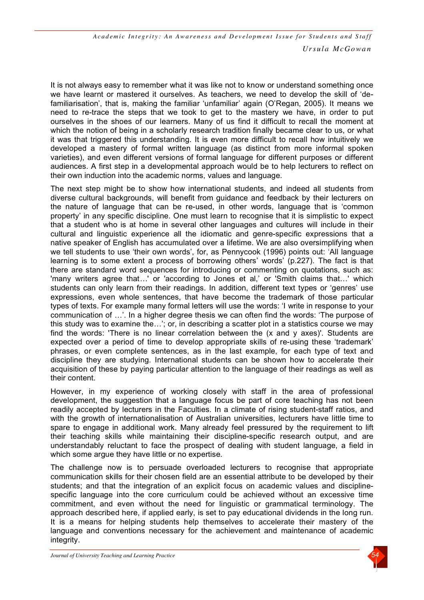It is not always easy to remember what it was like not to know or understand something once we have learnt or mastered it ourselves. As teachers, we need to develop the skill of 'defamiliarisation', that is, making the familiar 'unfamiliar' again (O'Regan, 2005). It means we need to re-trace the steps that we took to get to the mastery we have, in order to put ourselves in the shoes of our learners. Many of us find it difficult to recall the moment at which the notion of being in a scholarly research tradition finally became clear to us, or what it was that triggered this understanding. It is even more difficult to recall how intuitively we developed a mastery of formal written language (as distinct from more informal spoken varieties), and even different versions of formal language for different purposes or different audiences. A first step in a developmental approach would be to help lecturers to reflect on their own induction into the academic norms, values and language.

The next step might be to show how international students, and indeed all students from diverse cultural backgrounds, will benefit from guidance and feedback by their lecturers on the nature of language that can be re-used, in other words, language that is 'common property' in any specific discipline. One must learn to recognise that it is simplistic to expect that a student who is at home in several other languages and cultures will include in their cultural and linguistic experience all the idiomatic and genre-specific expressions that a native speaker of English has accumulated over a lifetime. We are also oversimplifying when we tell students to use 'their own words', for, as Pennycook (1996) points out: 'All language learning is to some extent a process of borrowing others' words' (p.227). The fact is that there are standard word sequences for introducing or commenting on quotations, such as: 'many writers agree that*…*' or 'according to Jones et al,' or 'Smith claims that…' which students can only learn from their readings. In addition, different text types or 'genres' use expressions, even whole sentences, that have become the trademark of those particular types of texts. For example many formal letters will use the words: 'I write in response to your communication of …'. In a higher degree thesis we can often find the words: 'The purpose of this study was to examine the…'; or, in describing a scatter plot in a statistics course we may find the words: 'There is no linear correlation between the (x and y axes)'. Students are expected over a period of time to develop appropriate skills of re-using these 'trademark' phrases, or even complete sentences, as in the last example, for each type of text and discipline they are studying. International students can be shown how to accelerate their acquisition of these by paying particular attention to the language of their readings as well as their content.

However, in my experience of working closely with staff in the area of professional development, the suggestion that a language focus be part of core teaching has not been readily accepted by lecturers in the Faculties. In a climate of rising student-staff ratios, and with the growth of internationalisation of Australian universities, lecturers have little time to spare to engage in additional work. Many already feel pressured by the requirement to lift their teaching skills while maintaining their discipline-specific research output, and are understandably reluctant to face the prospect of dealing with student language, a field in which some argue they have little or no expertise.

The challenge now is to persuade overloaded lecturers to recognise that appropriate communication skills for their chosen field are an essential attribute to be developed by their students; and that the integration of an explicit focus on academic values and disciplinespecific language into the core curriculum could be achieved without an excessive time commitment, and even without the need for linguistic or grammatical terminology. The approach described here, if applied early, is set to pay educational dividends in the long run. It is a means for helping students help themselves to accelerate their mastery of the language and conventions necessary for the achievement and maintenance of academic integrity.

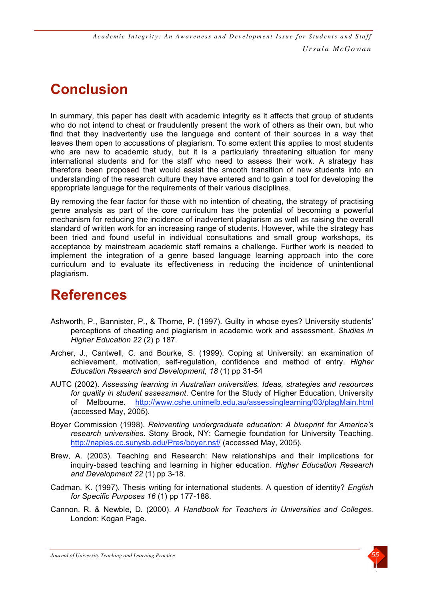# **Conclusion**

In summary, this paper has dealt with academic integrity as it affects that group of students who do not intend to cheat or fraudulently present the work of others as their own, but who find that they inadvertently use the language and content of their sources in a way that leaves them open to accusations of plagiarism. To some extent this applies to most students who are new to academic study, but it is a particularly threatening situation for many international students and for the staff who need to assess their work. A strategy has therefore been proposed that would assist the smooth transition of new students into an understanding of the research culture they have entered and to gain a tool for developing the appropriate language for the requirements of their various disciplines.

By removing the fear factor for those with no intention of cheating, the strategy of practising genre analysis as part of the core curriculum has the potential of becoming a powerful mechanism for reducing the incidence of inadvertent plagiarism as well as raising the overall standard of written work for an increasing range of students. However, while the strategy has been tried and found useful in individual consultations and small group workshops, its acceptance by mainstream academic staff remains a challenge. Further work is needed to implement the integration of a genre based language learning approach into the core curriculum and to evaluate its effectiveness in reducing the incidence of unintentional plagiarism.

# **References**

- Ashworth, P., Bannister, P., & Thorne, P. (1997). Guilty in whose eyes? University students' perceptions of cheating and plagiarism in academic work and assessment. *Studies in Higher Education 22* (2) p 187.
- Archer, J., Cantwell, C. and Bourke, S. (1999). Coping at University: an examination of achievement, motivation, self-regulation, confidence and method of entry*. Higher Education Research and Development, 18* (1) pp 31-54
- AUTC (2002). *Assessing learning in Australian universities. Ideas, strategies and resources for quality in student assessment*. Centre for the Study of Higher Education. University of Melbourne. http://www.cshe.unimelb.edu.au/assessinglearning/03/plagMain.html (accessed May, 2005).
- Boyer Commission (1998). *Reinventing undergraduate education: A blueprint for America's research universities*. Stony Brook, NY: Carnegie foundation for University Teaching. http://naples.cc.sunysb.edu/Pres/boyer.nsf/ (accessed May, 2005).
- Brew, A. (2003). Teaching and Research: New relationships and their implications for inquiry-based teaching and learning in higher education. *Higher Education Research and Development 22* (1) pp 3-18.
- Cadman, K. (1997). Thesis writing for international students. A question of identity? *English for Specific Purposes 16* (1) pp 177-188.
- Cannon, R. & Newble, D. (2000). *A Handbook for Teachers in Universities and Colleges*. London: Kogan Page.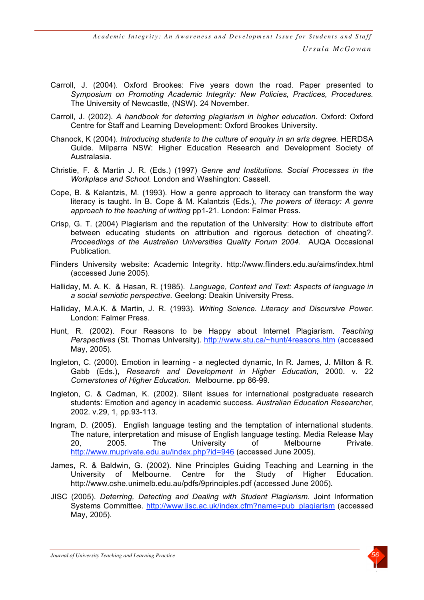- Carroll, J. (2004). Oxford Brookes: Five years down the road. Paper presented to *Symposium on Promoting Academic Integrity: New Policies, Practices, Procedures.* The University of Newcastle, (NSW). 24 November.
- Carroll, J. (2002). *A handbook for deterring plagiarism in higher education*. Oxford: Oxford Centre for Staff and Learning Development: Oxford Brookes University.
- Chanock, K (2004). *Introducing students to the culture of enquiry in an arts degree.* HERDSA Guide. Milparra NSW: Higher Education Research and Development Society of Australasia.
- Christie, F. & Martin J. R. (Eds.) (1997) *Genre and Institutions. Social Processes in the Workplace and School.* London and Washington: Cassell.
- Cope, B. & Kalantzis, M. (1993). How a genre approach to literacy can transform the way literacy is taught. In B. Cope & M. Kalantzis (Eds.), *The powers of literacy: A genre approach to the teaching of writing* pp1-21. London: Falmer Press.
- Crisp, G. T. (2004) Plagiarism and the reputation of the University: How to distribute effort between educating students on attribution and rigorous detection of cheating?. *Proceedings of the Australian Universities Quality Forum 2004.* AUQA Occasional Publication.
- Flinders University website: Academic Integrity. http://www.flinders.edu.au/aims/index.html (accessed June 2005).
- Halliday, M. A. K. & Hasan, R. (1985). *Language, Context and Text: Aspects of language in a social semiotic perspective.* Geelong: Deakin University Press.
- Halliday, M.A.K. & Martin, J. R. (1993). *Writing Science. Literacy and Discursive Power.* London: Falmer Press.
- Hunt, R. (2002). Four Reasons to be Happy about Internet Plagiarism. *Teaching Perspectives* (St. Thomas University). http://www.stu.ca/~hunt/4reasons.htm (accessed May, 2005).
- Ingleton, C. (2000). Emotion in learning a neglected dynamic, In R. James, J. Milton & R. Gabb (Eds.), *Research and Development in Higher Education*, 2000. v. 22 *Cornerstones of Higher Education.* Melbourne. pp 86-99.
- Ingleton, C. & Cadman, K. (2002). Silent issues for international postgraduate research students: Emotion and agency in academic success. *Australian Education Researcher*, 2002. v.29, 1, pp.93-113.
- Ingram, D. (2005). English language testing and the temptation of international students. The nature, interpretation and misuse of English language testing. Media Release May 20, 2005. The University of Melbourne Private. http://www.muprivate.edu.au/index.php?id=946 (accessed June 2005).
- James, R. & Baldwin, G. (2002). Nine Principles Guiding Teaching and Learning in the University of Melbourne. Centre for the Study of Higher Education. http://www.cshe.unimelb.edu.au/pdfs/9principles.pdf (accessed June 2005).
- JISC (2005). *Deterring, Detecting and Dealing with Student Plagiarism*. Joint Information Systems Committee. http://www.jisc.ac.uk/index.cfm?name=pub\_plagiarism (accessed May, 2005).